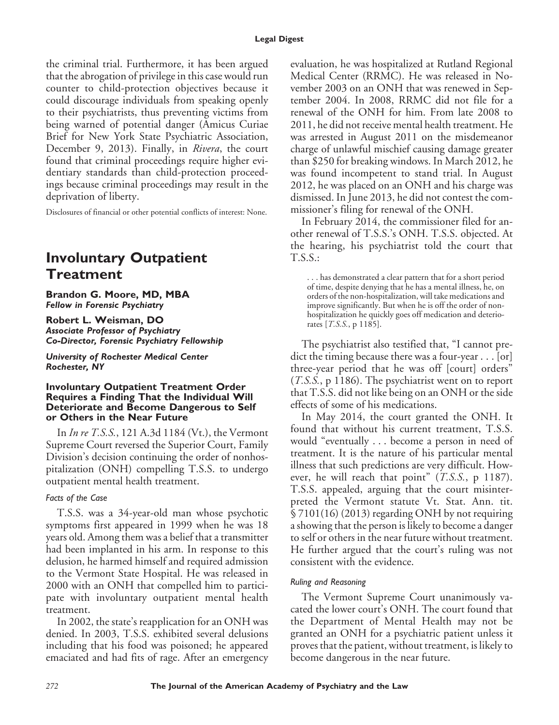the criminal trial. Furthermore, it has been argued that the abrogation of privilege in this case would run counter to child-protection objectives because it could discourage individuals from speaking openly to their psychiatrists, thus preventing victims from being warned of potential danger (Amicus Curiae Brief for New York State Psychiatric Association, December 9, 2013). Finally, in *Rivera*, the court found that criminal proceedings require higher evidentiary standards than child-protection proceedings because criminal proceedings may result in the deprivation of liberty.

Disclosures of financial or other potential conflicts of interest: None.

## **Involuntary Outpatient Treatment**

**Brandon G. Moore, MD, MBA** *Fellow in Forensic Psychiatry*

**Robert L. Weisman, DO** *Associate Professor of Psychiatry Co-Director, Forensic Psychiatry Fellowship*

*University of Rochester Medical Center Rochester, NY*

#### **Involuntary Outpatient Treatment Order Requires a Finding That the Individual Will Deteriorate and Become Dangerous to Self or Others in the Near Future**

In *In re T.S.S.*, 121 A.3d 1184 (Vt.), the Vermont Supreme Court reversed the Superior Court, Family Division's decision continuing the order of nonhospitalization (ONH) compelling T.S.S. to undergo outpatient mental health treatment.

## *Facts of the Case*

T.S.S. was a 34-year-old man whose psychotic symptoms first appeared in 1999 when he was 18 years old. Among them was a belief that a transmitter had been implanted in his arm. In response to this delusion, he harmed himself and required admission to the Vermont State Hospital. He was released in 2000 with an ONH that compelled him to participate with involuntary outpatient mental health treatment.

In 2002, the state's reapplication for an ONH was denied. In 2003, T.S.S. exhibited several delusions including that his food was poisoned; he appeared emaciated and had fits of rage. After an emergency evaluation, he was hospitalized at Rutland Regional Medical Center (RRMC). He was released in November 2003 on an ONH that was renewed in September 2004. In 2008, RRMC did not file for a renewal of the ONH for him. From late 2008 to 2011, he did not receive mental health treatment. He was arrested in August 2011 on the misdemeanor charge of unlawful mischief causing damage greater than \$250 for breaking windows. In March 2012, he was found incompetent to stand trial. In August 2012, he was placed on an ONH and his charge was dismissed. In June 2013, he did not contest the commissioner's filing for renewal of the ONH.

In February 2014, the commissioner filed for another renewal of T.S.S.'s ONH. T.S.S. objected. At the hearing, his psychiatrist told the court that T.S.S.:

. . . has demonstrated a clear pattern that for a short period of time, despite denying that he has a mental illness, he, on orders of the non-hospitalization, will take medications and improve significantly. But when he is off the order of nonhospitalization he quickly goes off medication and deteriorates [*T.S.S.*, p 1185].

The psychiatrist also testified that, "I cannot predict the timing because there was a four-year . . . [or] three-year period that he was off [court] orders" (*T.S.S.*, p 1186). The psychiatrist went on to report that T.S.S. did not like being on an ONH or the side effects of some of his medications.

In May 2014, the court granted the ONH. It found that without his current treatment, T.S.S. would "eventually . . . become a person in need of treatment. It is the nature of his particular mental illness that such predictions are very difficult. However, he will reach that point" (*T.S.S.*, p 1187). T.S.S. appealed, arguing that the court misinterpreted the Vermont statute Vt. Stat. Ann. tit. § 7101(16) (2013) regarding ONH by not requiring a showing that the person is likely to become a danger to self or others in the near future without treatment. He further argued that the court's ruling was not consistent with the evidence.

#### *Ruling and Reasoning*

The Vermont Supreme Court unanimously vacated the lower court's ONH. The court found that the Department of Mental Health may not be granted an ONH for a psychiatric patient unless it proves that the patient, without treatment, is likely to become dangerous in the near future.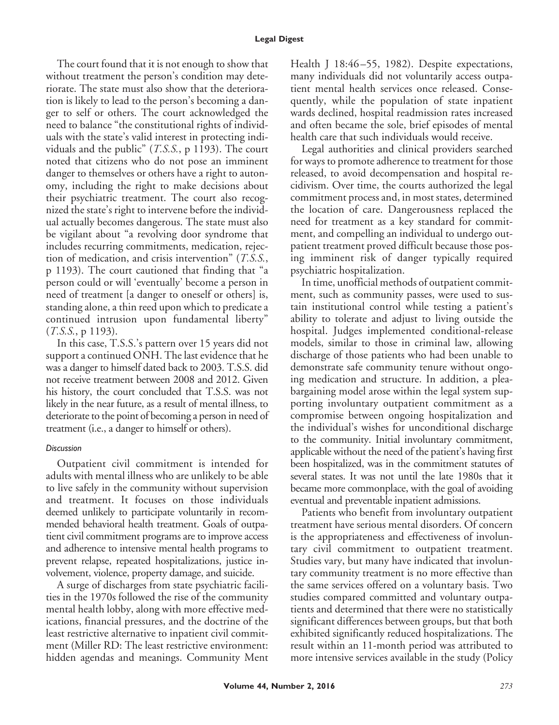The court found that it is not enough to show that without treatment the person's condition may deteriorate. The state must also show that the deterioration is likely to lead to the person's becoming a danger to self or others. The court acknowledged the need to balance "the constitutional rights of individuals with the state's valid interest in protecting individuals and the public" (*T.S.S.*, p 1193). The court noted that citizens who do not pose an imminent danger to themselves or others have a right to autonomy, including the right to make decisions about their psychiatric treatment. The court also recognized the state's right to intervene before the individual actually becomes dangerous. The state must also be vigilant about "a revolving door syndrome that includes recurring commitments, medication, rejection of medication, and crisis intervention" (*T.S.S.*, p 1193). The court cautioned that finding that "a person could or will 'eventually' become a person in need of treatment [a danger to oneself or others] is, standing alone, a thin reed upon which to predicate a continued intrusion upon fundamental liberty" (*T.S.S.*, p 1193).

In this case, T.S.S.'s pattern over 15 years did not support a continued ONH. The last evidence that he was a danger to himself dated back to 2003. T.S.S. did not receive treatment between 2008 and 2012. Given his history, the court concluded that T.S.S. was not likely in the near future, as a result of mental illness, to deteriorate to the point of becoming a person in need of treatment (i.e., a danger to himself or others).

#### *Discussion*

Outpatient civil commitment is intended for adults with mental illness who are unlikely to be able to live safely in the community without supervision and treatment. It focuses on those individuals deemed unlikely to participate voluntarily in recommended behavioral health treatment. Goals of outpatient civil commitment programs are to improve access and adherence to intensive mental health programs to prevent relapse, repeated hospitalizations, justice involvement, violence, property damage, and suicide.

A surge of discharges from state psychiatric facilities in the 1970s followed the rise of the community mental health lobby, along with more effective medications, financial pressures, and the doctrine of the least restrictive alternative to inpatient civil commitment (Miller RD: The least restrictive environment: hidden agendas and meanings. Community Ment Health J 18:46–55, 1982). Despite expectations, many individuals did not voluntarily access outpatient mental health services once released. Consequently, while the population of state inpatient wards declined, hospital readmission rates increased and often became the sole, brief episodes of mental health care that such individuals would receive.

Legal authorities and clinical providers searched for ways to promote adherence to treatment for those released, to avoid decompensation and hospital recidivism. Over time, the courts authorized the legal commitment process and, in most states, determined the location of care. Dangerousness replaced the need for treatment as a key standard for commitment, and compelling an individual to undergo outpatient treatment proved difficult because those posing imminent risk of danger typically required psychiatric hospitalization.

In time, unofficial methods of outpatient commitment, such as community passes, were used to sustain institutional control while testing a patient's ability to tolerate and adjust to living outside the hospital. Judges implemented conditional-release models, similar to those in criminal law, allowing discharge of those patients who had been unable to demonstrate safe community tenure without ongoing medication and structure. In addition, a pleabargaining model arose within the legal system supporting involuntary outpatient commitment as a compromise between ongoing hospitalization and the individual's wishes for unconditional discharge to the community. Initial involuntary commitment, applicable without the need of the patient's having first been hospitalized, was in the commitment statutes of several states. It was not until the late 1980s that it became more commonplace, with the goal of avoiding eventual and preventable inpatient admissions.

Patients who benefit from involuntary outpatient treatment have serious mental disorders. Of concern is the appropriateness and effectiveness of involuntary civil commitment to outpatient treatment. Studies vary, but many have indicated that involuntary community treatment is no more effective than the same services offered on a voluntary basis. Two studies compared committed and voluntary outpatients and determined that there were no statistically significant differences between groups, but that both exhibited significantly reduced hospitalizations. The result within an 11-month period was attributed to more intensive services available in the study (Policy